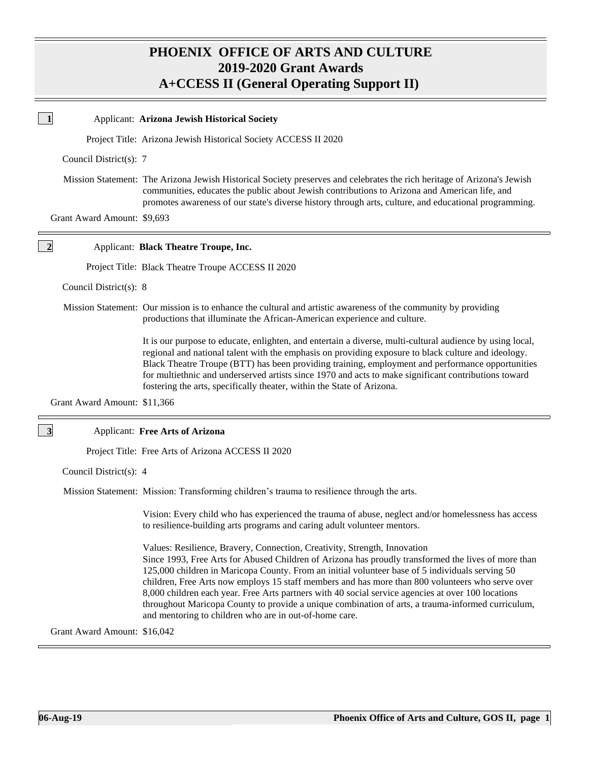# **PHOENIX OFFICE OF ARTS AND CULTURE 2019-2020 Grant Awards A+CCESS II (General Operating Support II)**

|                         |                              | Applicant: Arizona Jewish Historical Society                                                                                                                                                                                                                                                                                                                                                                                                                                                                                                                                                                                                                 |
|-------------------------|------------------------------|--------------------------------------------------------------------------------------------------------------------------------------------------------------------------------------------------------------------------------------------------------------------------------------------------------------------------------------------------------------------------------------------------------------------------------------------------------------------------------------------------------------------------------------------------------------------------------------------------------------------------------------------------------------|
|                         |                              | Project Title: Arizona Jewish Historical Society ACCESS II 2020                                                                                                                                                                                                                                                                                                                                                                                                                                                                                                                                                                                              |
|                         | Council District(s): 7       |                                                                                                                                                                                                                                                                                                                                                                                                                                                                                                                                                                                                                                                              |
|                         |                              | Mission Statement: The Arizona Jewish Historical Society preserves and celebrates the rich heritage of Arizona's Jewish<br>communities, educates the public about Jewish contributions to Arizona and American life, and<br>promotes awareness of our state's diverse history through arts, culture, and educational programming.                                                                                                                                                                                                                                                                                                                            |
|                         | Grant Award Amount: \$9,693  |                                                                                                                                                                                                                                                                                                                                                                                                                                                                                                                                                                                                                                                              |
| $\overline{2}$          |                              | Applicant: Black Theatre Troupe, Inc.                                                                                                                                                                                                                                                                                                                                                                                                                                                                                                                                                                                                                        |
|                         |                              | Project Title: Black Theatre Troupe ACCESS II 2020                                                                                                                                                                                                                                                                                                                                                                                                                                                                                                                                                                                                           |
|                         | Council District(s): 8       |                                                                                                                                                                                                                                                                                                                                                                                                                                                                                                                                                                                                                                                              |
|                         |                              | Mission Statement: Our mission is to enhance the cultural and artistic awareness of the community by providing<br>productions that illuminate the African-American experience and culture.                                                                                                                                                                                                                                                                                                                                                                                                                                                                   |
|                         |                              | It is our purpose to educate, enlighten, and entertain a diverse, multi-cultural audience by using local,<br>regional and national talent with the emphasis on providing exposure to black culture and ideology.<br>Black Theatre Troupe (BTT) has been providing training, employment and performance opportunities<br>for multiethnic and underserved artists since 1970 and acts to make significant contributions toward<br>fostering the arts, specifically theater, within the State of Arizona.                                                                                                                                                       |
|                         | Grant Award Amount: \$11,366 |                                                                                                                                                                                                                                                                                                                                                                                                                                                                                                                                                                                                                                                              |
| $\overline{\mathbf{3}}$ |                              | <b>Applicant: Free Arts of Arizona</b>                                                                                                                                                                                                                                                                                                                                                                                                                                                                                                                                                                                                                       |
|                         |                              | Project Title: Free Arts of Arizona ACCESS II 2020                                                                                                                                                                                                                                                                                                                                                                                                                                                                                                                                                                                                           |
|                         | Council District(s): 4       |                                                                                                                                                                                                                                                                                                                                                                                                                                                                                                                                                                                                                                                              |
|                         |                              | Mission Statement: Mission: Transforming children's trauma to resilience through the arts.                                                                                                                                                                                                                                                                                                                                                                                                                                                                                                                                                                   |
|                         |                              | Vision: Every child who has experienced the trauma of abuse, neglect and/or homelessness has access<br>to resilience-building arts programs and caring adult volunteer mentors.                                                                                                                                                                                                                                                                                                                                                                                                                                                                              |
|                         |                              | Values: Resilience, Bravery, Connection, Creativity, Strength, Innovation<br>Since 1993, Free Arts for Abused Children of Arizona has proudly transformed the lives of more than<br>125,000 children in Maricopa County. From an initial volunteer base of 5 individuals serving 50<br>children, Free Arts now employs 15 staff members and has more than 800 volunteers who serve over<br>8,000 children each year. Free Arts partners with 40 social service agencies at over 100 locations<br>throughout Maricopa County to provide a unique combination of arts, a trauma-informed curriculum,<br>and mentoring to children who are in out-of-home care. |
|                         | Grant Award Amount: \$16,042 |                                                                                                                                                                                                                                                                                                                                                                                                                                                                                                                                                                                                                                                              |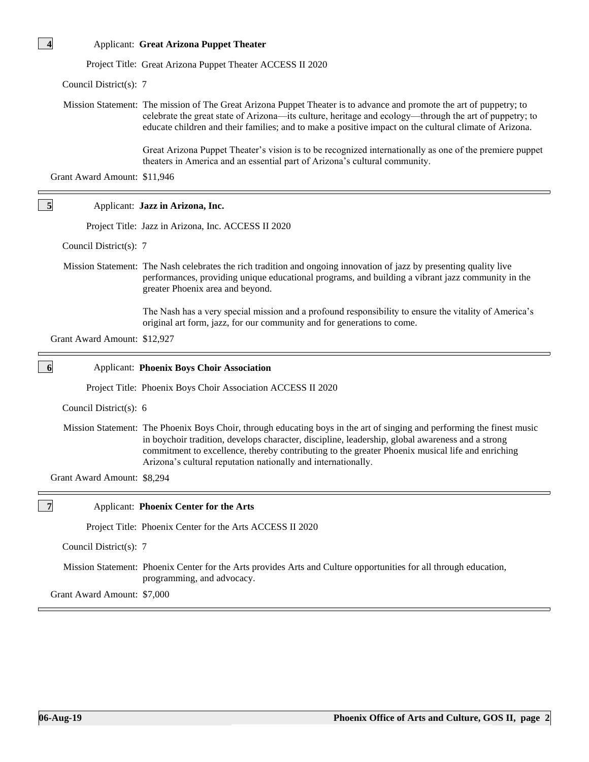| <b>Applicant: Great Arizona Puppet Theater</b> |
|------------------------------------------------|
|                                                |

Project Title: Great Arizona Puppet Theater ACCESS II 2020

Council District(s): 7

**4**

**5**

 Mission Statement: The mission of The Great Arizona Puppet Theater is to advance and promote the art of puppetry; to celebrate the great state of Arizona—its culture, heritage and ecology—through the art of puppetry; to educate children and their families; and to make a positive impact on the cultural climate of Arizona.

> Great Arizona Puppet Theater's vision is to be recognized internationally as one of the premiere puppet theaters in America and an essential part of Arizona's cultural community.

Grant Award Amount: \$11,946

## Applicant: **Jazz in Arizona, Inc.**

Project Title: Jazz in Arizona, Inc. ACCESS II 2020

Council District(s): 7

 Mission Statement: The Nash celebrates the rich tradition and ongoing innovation of jazz by presenting quality live performances, providing unique educational programs, and building a vibrant jazz community in the greater Phoenix area and beyond.

> The Nash has a very special mission and a profound responsibility to ensure the vitality of America's original art form, jazz, for our community and for generations to come.

| Grant Award Amount: \$12,927 |                                                                                                                                                                                                                                                                                                                                                                                                  |  |  |  |
|------------------------------|--------------------------------------------------------------------------------------------------------------------------------------------------------------------------------------------------------------------------------------------------------------------------------------------------------------------------------------------------------------------------------------------------|--|--|--|
| 6                            | <b>Applicant: Phoenix Boys Choir Association</b>                                                                                                                                                                                                                                                                                                                                                 |  |  |  |
|                              | Project Title: Phoenix Boys Choir Association ACCESS II 2020                                                                                                                                                                                                                                                                                                                                     |  |  |  |
| Council District(s): 6       |                                                                                                                                                                                                                                                                                                                                                                                                  |  |  |  |
| Grant Award Amount: \$8,294  | Mission Statement: The Phoenix Boys Choir, through educating boys in the art of singing and performing the finest music<br>in boychoir tradition, develops character, discipline, leadership, global awareness and a strong<br>commitment to excellence, thereby contributing to the greater Phoenix musical life and enriching<br>Arizona's cultural reputation nationally and internationally. |  |  |  |
| $\overline{7}$               | <b>Applicant: Phoenix Center for the Arts</b>                                                                                                                                                                                                                                                                                                                                                    |  |  |  |
|                              | Project Title: Phoenix Center for the Arts ACCESS II 2020                                                                                                                                                                                                                                                                                                                                        |  |  |  |
| Council District(s): 7       |                                                                                                                                                                                                                                                                                                                                                                                                  |  |  |  |
|                              | Mission Statement: Phoenix Center for the Arts provides Arts and Culture opportunities for all through education,<br>programming, and advocacy.                                                                                                                                                                                                                                                  |  |  |  |
| Grant Award Amount: \$7,000  |                                                                                                                                                                                                                                                                                                                                                                                                  |  |  |  |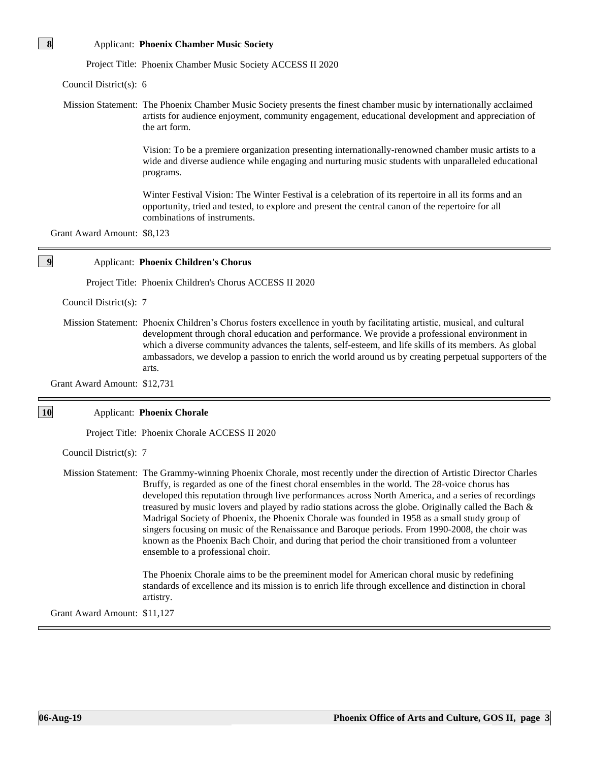### Applicant: **Phoenix Chamber Music Society**

Project Title: Phoenix Chamber Music Society ACCESS II 2020

Council District(s): 6

**8**

**9**

 Mission Statement: The Phoenix Chamber Music Society presents the finest chamber music by internationally acclaimed artists for audience enjoyment, community engagement, educational development and appreciation of the art form.

> Vision: To be a premiere organization presenting internationally-renowned chamber music artists to a wide and diverse audience while engaging and nurturing music students with unparalleled educational programs.

Winter Festival Vision: The Winter Festival is a celebration of its repertoire in all its forms and an opportunity, tried and tested, to explore and present the central canon of the repertoire for all combinations of instruments.

Grant Award Amount: \$8,123

#### Applicant: **Phoenix Children's Chorus**

Project Title: Phoenix Children's Chorus ACCESS II 2020

Council District(s): 7

 Mission Statement: Phoenix Children's Chorus fosters excellence in youth by facilitating artistic, musical, and cultural development through choral education and performance. We provide a professional environment in which a diverse community advances the talents, self-esteem, and life skills of its members. As global ambassadors, we develop a passion to enrich the world around us by creating perpetual supporters of the arts.

Grant Award Amount: \$12,731

#### Applicant: **Phoenix Chorale 10**

Project Title: Phoenix Chorale ACCESS II 2020

Council District(s): 7

 Mission Statement: The Grammy-winning Phoenix Chorale, most recently under the direction of Artistic Director Charles Bruffy, is regarded as one of the finest choral ensembles in the world. The 28-voice chorus has developed this reputation through live performances across North America, and a series of recordings treasured by music lovers and played by radio stations across the globe. Originally called the Bach & Madrigal Society of Phoenix, the Phoenix Chorale was founded in 1958 as a small study group of singers focusing on music of the Renaissance and Baroque periods. From 1990-2008, the choir was known as the Phoenix Bach Choir, and during that period the choir transitioned from a volunteer ensemble to a professional choir.

> The Phoenix Chorale aims to be the preeminent model for American choral music by redefining standards of excellence and its mission is to enrich life through excellence and distinction in choral artistry.

Grant Award Amount: \$11,127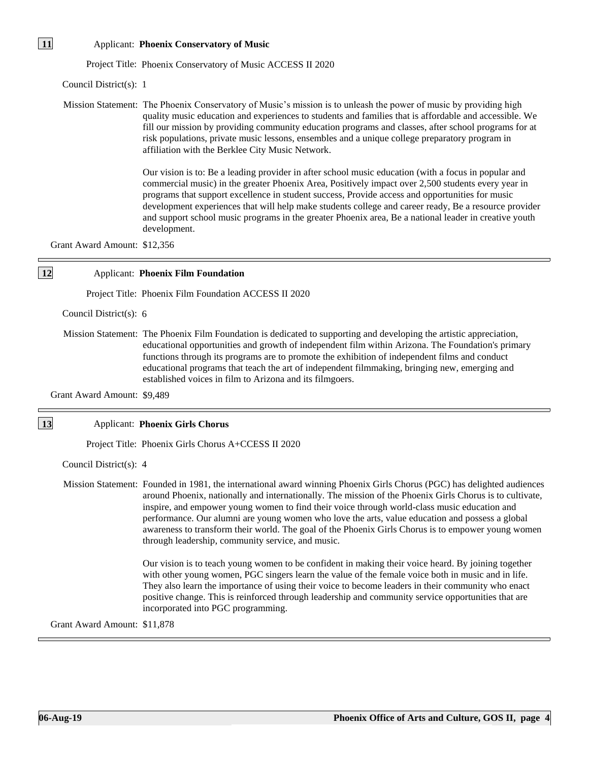| 11        |                              | <b>Applicant: Phoenix Conservatory of Music</b>                                                                                                                                                                                                                                                                                                                                                                                                                                                                                                                                                                                                                                                         |
|-----------|------------------------------|---------------------------------------------------------------------------------------------------------------------------------------------------------------------------------------------------------------------------------------------------------------------------------------------------------------------------------------------------------------------------------------------------------------------------------------------------------------------------------------------------------------------------------------------------------------------------------------------------------------------------------------------------------------------------------------------------------|
|           |                              | Project Title: Phoenix Conservatory of Music ACCESS II 2020                                                                                                                                                                                                                                                                                                                                                                                                                                                                                                                                                                                                                                             |
|           | Council District(s): 1       |                                                                                                                                                                                                                                                                                                                                                                                                                                                                                                                                                                                                                                                                                                         |
|           |                              | Mission Statement: The Phoenix Conservatory of Music's mission is to unleash the power of music by providing high<br>quality music education and experiences to students and families that is affordable and accessible. We<br>fill our mission by providing community education programs and classes, after school programs for at<br>risk populations, private music lessons, ensembles and a unique college preparatory program in<br>affiliation with the Berklee City Music Network.                                                                                                                                                                                                               |
|           |                              | Our vision is to: Be a leading provider in after school music education (with a focus in popular and<br>commercial music) in the greater Phoenix Area, Positively impact over 2,500 students every year in<br>programs that support excellence in student success, Provide access and opportunities for music<br>development experiences that will help make students college and career ready, Be a resource provider<br>and support school music programs in the greater Phoenix area, Be a national leader in creative youth<br>development.                                                                                                                                                         |
|           | Grant Award Amount: \$12,356 |                                                                                                                                                                                                                                                                                                                                                                                                                                                                                                                                                                                                                                                                                                         |
| <b>12</b> |                              | <b>Applicant: Phoenix Film Foundation</b>                                                                                                                                                                                                                                                                                                                                                                                                                                                                                                                                                                                                                                                               |
|           |                              | Project Title: Phoenix Film Foundation ACCESS II 2020                                                                                                                                                                                                                                                                                                                                                                                                                                                                                                                                                                                                                                                   |
|           | Council District(s): 6       |                                                                                                                                                                                                                                                                                                                                                                                                                                                                                                                                                                                                                                                                                                         |
|           |                              | Mission Statement: The Phoenix Film Foundation is dedicated to supporting and developing the artistic appreciation,<br>educational opportunities and growth of independent film within Arizona. The Foundation's primary<br>functions through its programs are to promote the exhibition of independent films and conduct<br>educational programs that teach the art of independent filmmaking, bringing new, emerging and<br>established voices in film to Arizona and its filmgoers.                                                                                                                                                                                                                  |
|           | Grant Award Amount: \$9,489  |                                                                                                                                                                                                                                                                                                                                                                                                                                                                                                                                                                                                                                                                                                         |
| <b>13</b> |                              | <b>Applicant: Phoenix Girls Chorus</b>                                                                                                                                                                                                                                                                                                                                                                                                                                                                                                                                                                                                                                                                  |
|           |                              | Project Title: Phoenix Girls Chorus A+CCESS II 2020                                                                                                                                                                                                                                                                                                                                                                                                                                                                                                                                                                                                                                                     |
|           | Council District(s): 4       |                                                                                                                                                                                                                                                                                                                                                                                                                                                                                                                                                                                                                                                                                                         |
|           |                              | Mission Statement: Founded in 1981, the international award winning Phoenix Girls Chorus (PGC) has delighted audiences<br>around Phoenix, nationally and internationally. The mission of the Phoenix Girls Chorus is to cultivate,<br>inspire, and empower young women to find their voice through world-class music education and<br>performance. Our alumni are young women who love the arts, value education and possess a global<br>awareness to transform their world. The goal of the Phoenix Girls Chorus is to empower young women<br>through leadership, community service, and music.<br>Our vision is to teach young women to be confident in making their voice heard. By joining together |
|           |                              | with other young women, PGC singers learn the value of the female voice both in music and in life.<br>They also learn the importance of using their voice to become leaders in their community who enact                                                                                                                                                                                                                                                                                                                                                                                                                                                                                                |

positive change. This is reinforced through leadership and community service opportunities that are

Grant Award Amount: \$11,878

incorporated into PGC programming.

 $\bar{L}$